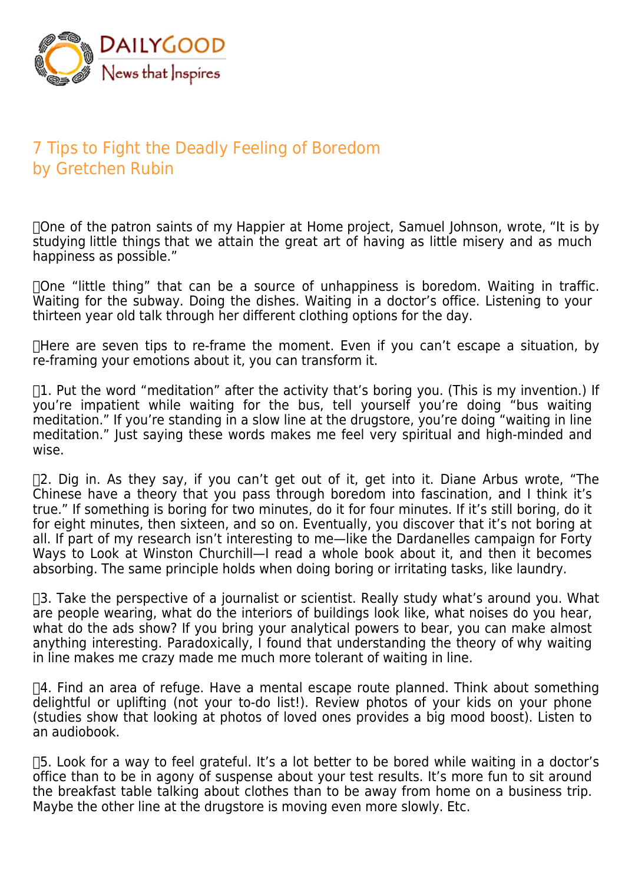

## 7 Tips to Fight the Deadly Feeling of Boredom by Gretchen Rubin

 One of the patron saints of my Happier at Home project, Samuel Johnson, wrote, "It is by studying little things that we attain the great art of having as little misery and as much happiness as possible."

 One "little thing" that can be a source of unhappiness is boredom. Waiting in traffic. Waiting for the subway. Doing the dishes. Waiting in a doctor's office. Listening to your thirteen year old talk through her different clothing options for the day.

 $\Box$  Here are seven tips to re-frame the moment. Even if you can't escape a situation, by re-framing your emotions about it, you can transform it.

 $\Box$ 1. Put the word "meditation" after the activity that's boring you. (This is my invention.) If you're impatient while waiting for the bus, tell yourself you're doing "bus waiting meditation." If you're standing in a slow line at the drugstore, you're doing "waiting in line meditation." Just saying these words makes me feel very spiritual and high-minded and wise.

 $\Box$  Dig in. As they say, if you can't get out of it, get into it. Diane Arbus wrote, "The Chinese have a theory that you pass through boredom into fascination, and I think it's true." If something is boring for two minutes, do it for four minutes. If it's still boring, do it for eight minutes, then sixteen, and so on. Eventually, you discover that it's not boring at all. If part of my research isn't interesting to me—like the Dardanelles campaign for Forty Ways to Look at Winston Churchill—I read a whole book about it, and then it becomes absorbing. The same principle holds when doing boring or irritating tasks, like laundry.

 $\Box$ 3. Take the perspective of a journalist or scientist. Really study what's around you. What are people wearing, what do the interiors of buildings look like, what noises do you hear, what do the ads show? If you bring your analytical powers to bear, you can make almost anything interesting. Paradoxically, I found that understanding the theory of why waiting in line makes me crazy made me much more tolerant of waiting in line.

 $\Box$ 4. Find an area of refuge. Have a mental escape route planned. Think about something delightful or uplifting (not your to-do list!). Review photos of your kids on your phone (studies show that looking at photos of loved ones provides a big mood boost). Listen to an audiobook.

 $\Box$ 5. Look for a way to feel grateful. It's a lot better to be bored while waiting in a doctor's office than to be in agony of suspense about your test results. It's more fun to sit around the breakfast table talking about clothes than to be away from home on a business trip. Maybe the other line at the drugstore is moving even more slowly. Etc.